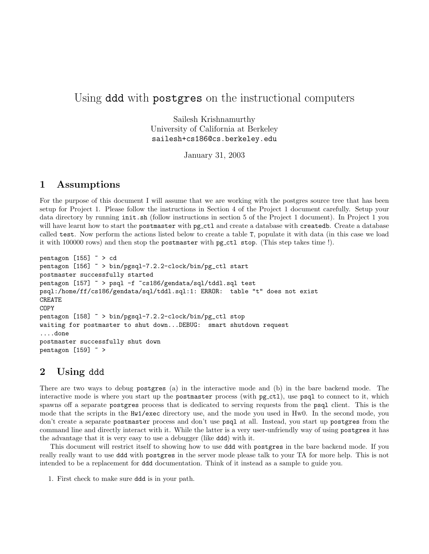## Using ddd with postgres on the instructional computers

Sailesh Krishnamurthy University of California at Berkeley sailesh+cs186@cs.berkeley.edu

January 31, 2003

## 1 Assumptions

For the purpose of this document I will assume that we are working with the postgres source tree that has been setup for Project 1. Please follow the instructions in Section 4 of the Project 1 document carefully. Setup your data directory by running init.sh (follow instructions in section 5 of the Project 1 document). In Project 1 you will have learnt how to start the postmaster with pg\_ctl and create a database with createdb. Create a database called test. Now perform the actions listed below to create a table T, populate it with data (in this case we load it with 100000 rows) and then stop the postmaster with pg ctl stop. (This step takes time !).

```
pentagon [155] \sim > cd
pentagon [156] ~ > bin/pgsql-7.2.2-clock/bin/pg_ctl start
postmaster successfully started
pentagon [157] ~ > psql -f ~cs186/gendata/sql/tddl.sql test
psql:/home/ff/cs186/gendata/sql/tddl.sql:1: ERROR: table "t" does not exist
CREATE
COPY
pentagon [158] ~ > bin/pgsql-7.2.2-clock/bin/pg_ctl stop
waiting for postmaster to shut down...DEBUG: smart shutdown request
....done
postmaster successfully shut down
pentagon [159] ~ >
```
## 2 Using ddd

There are two ways to debug postgres (a) in the interactive mode and (b) in the bare backend mode. The interactive mode is where you start up the postmaster process (with  $pg<sub>-ct1</sub>$ ), use psql to connect to it, which spawns off a separate postgres process that is dedicated to serving requests from the psql client. This is the mode that the scripts in the Hw1/exec directory use, and the mode you used in Hw0. In the second mode, you don't create a separate postmaster process and don't use psql at all. Instead, you start up postgres from the command line and directly interact with it. While the latter is a very user-unfriendly way of using postgres it has the advantage that it is very easy to use a debugger (like ddd) with it.

This document will restrict itself to showing how to use ddd with postgres in the bare backend mode. If you really really want to use ddd with postgres in the server mode please talk to your TA for more help. This is not intended to be a replacement for ddd documentation. Think of it instead as a sample to guide you.

1. First check to make sure ddd is in your path.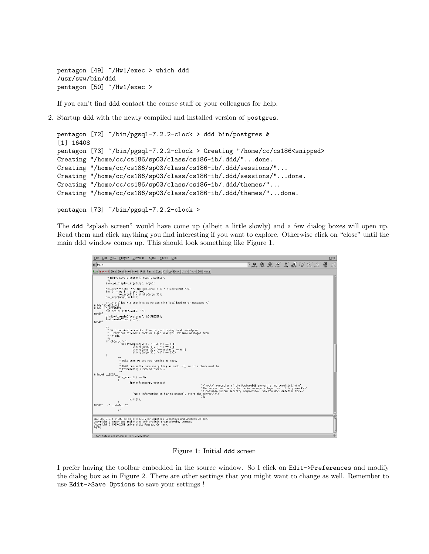pentagon [49] ~/Hw1/exec > which ddd /usr/sww/bin/ddd pentagon [50] ~/Hw1/exec >

If you can't find ddd contact the course staff or your colleagues for help.

2. Startup ddd with the newly compiled and installed version of postgres.

```
pentagon [72] ~/bin/pgsql-7.2.2-clock > ddd bin/postgres &
[1] 16408
pentagon [73] ~/bin/pgsql-7.2.2-clock > Creating "/home/cc/cs186<snipped>
Creating "/home/cc/cs186/sp03/class/cs186-ib/.ddd/"...done.
Creating "/home/cc/cs186/sp03/class/cs186-ib/.ddd/sessions/"...
Creating "/home/cc/cs186/sp03/class/cs186-ib/.ddd/sessions/"...done.
Creating "/home/cc/cs186/sp03/class/cs186-ib/.ddd/themes/"...
Creating "/home/cc/cs186/sp03/class/cs186-ib/.ddd/themes/"...done.
```

```
pentagon [73] ~/bin/pgsql-7.2.2-clock >
```
The ddd "splash screen" would have come up (albeit a little slowly) and a few dialog boxes will open up. Read them and click anything you find interesting if you want to explore. Otherwise click on "close" until the main ddd window comes up. This should look something like Figure 1.

```
File Edit View Program Commands Status Source Data
                                                                                                                                                                              V SO ph OD GO ? But MA <sup>6</sup> <del>9</del> 8
0: main
Run Interrupt Step Stepi Next Nexti Until Finish Cont Kill Up Down Undo Redo Edit Make
               * might save a getenv() result pointer.
              "/<br>save_ps_display_args(argc, argv);
             /* Initialize NLS settings so we can give localized error messages */<br>#ifdef ENABLE_MLS<br>#ifdef LC_MESSAGES<br>#...... setlocale(LC_MESSAGES, **);
 #endif
              bindtextdomain("postgres", LOCALEDIR);<br>textdomain("postgres");
 Hendif
              /*<br>* Skip permission checks if we're just trying to do —help or<br>* —version; otherwise root will get unhelpful failure messages from<br>*/<br>*/
              "<br>| if (!(argc > 1<br>| a& (strcmp(argv[1], "—help") — 0 ||<br>| strcmp(argv[1], "—version") —<br>| strcmp(argv[1], "—version") —<br>| strcmp(argv[1], "—v") — 0)))
                                                                                                  0 + 1/* $\displaystyle\substack{~~* \\ \ast$} Make sure we are not running as root.
                             * Make sure we are not running as root.<br>* BeOS currently runs everything as root :-(, so this check must be<br>* BeOS currently disabled there...<br>*/
 #ifndef RFOS
                            if (geteuid() = 0)
                                         fprintf(stderr, gettext(
                                                                                                                           "\"root\" execution of the PostgreSQL server is not permitted.\n\n"<br>"The server must be started under an unprivileged user id to prevent\n'<br>"a possible system security compromise.  See the documentation for\n"<br>"server.\n\n
                                             a"<br>more information on how to properly start the se"<br>:((
                                         exit(1):
  #endif /* __BEOS__ */
                           \muCNU DDD 3.3.1 (i386-pc-solaris2.8), by Dorothea Lütkehaus and Andreas Zelle:<br>Copyright © 1995–1999 Technische Universität Braunschweig, Germany.<br>Copyright © 1999–2001 Universität Passau, Germany.<br>(gdb)
.<br>∆ Tool buttons are located in command toolbar
```
Figure 1: Initial ddd screen

I prefer having the toolbar embedded in the source window. So I click on Edit->Preferences and modify the dialog box as in Figure 2. There are other settings that you might want to change as well. Remember to use Edit->Save Options to save your settings !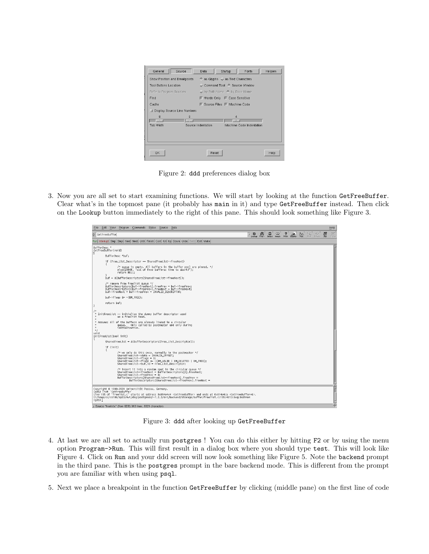| General<br>Source                |                    | Data.                            | Startup          | Fonts                    | Helpers |
|----------------------------------|--------------------|----------------------------------|------------------|--------------------------|---------|
| Show Position and Breakpoints    |                    | ← as Glyphs < as Text Characters |                  |                          |         |
| <b>Tool Buttons Location</b>     |                    | Command Tool < Source Window     |                  |                          |         |
| Refer to Program Sources         |                    | by Path Name + by Base Name      |                  |                          |         |
| Find                             |                    | ■ Words Only ■ Case Sensitive    |                  |                          |         |
| Cache                            |                    | ■ Source Files ■ Machine Code    |                  |                          |         |
| Display Source Line Numbers<br>ш |                    |                                  |                  |                          |         |
| 8                                | n                  |                                  | $\boldsymbol{A}$ |                          |         |
| <b>Tah Width</b>                 | Source Indentation |                                  |                  | Machine Code Indentation |         |
| OK.                              |                    | Reset                            |                  |                          | Help    |

Figure 2: ddd preferences dialog box

3. Now you are all set to start examining functions. We will start by looking at the function GetFreeBuffer. Clear what's in the topmost pane (it probably has main in it) and type GetFreeBuffer instead. Then click on the Lookup button immediately to the right of this pane. This should look something like Figure 3.



Figure 3: ddd after looking up GetFreeBuffer

- 4. At last we are all set to actually run postgres ! You can do this either by hitting F2 or by using the menu option Program->Run. This will first result in a dialog box where you should type test. This will look like Figure 4. Click on Run and your ddd screen will now look something like Figure 5. Note the backend prompt in the third pane. This is the postgres prompt in the bare backend mode. This is different from the prompt you are familiar with when using psql.
- 5. Next we place a breakpoint in the function GetFreeBuffer by clicking (middle pane) on the first line of code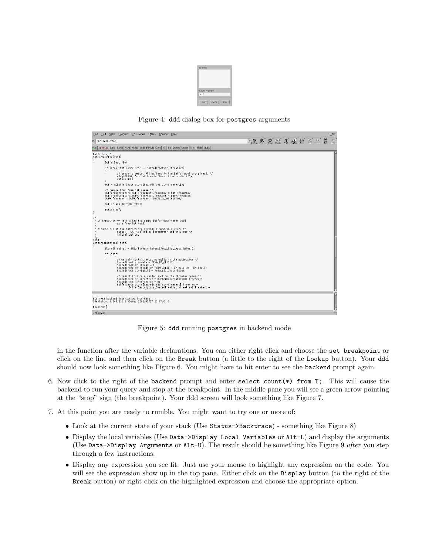

Figure 4: ddd dialog box for postgres arguments



Figure 5: ddd running postgres in backend mode

in the function after the variable declarations. You can either right click and choose the set breakpoint or click on the line and then click on the Break button (a little to the right of the Lookup button). Your ddd should now look something like Figure 6. You might have to hit enter to see the backend prompt again.

- 6. Now click to the right of the backend prompt and enter select count( $*)$  from T;. This will cause the backend to run your query and stop at the breakpoint. In the middle pane you will see a green arrow pointing at the "stop" sign (the breakpoint). Your ddd screen will look something like Figure 7.
- 7. At this point you are ready to rumble. You might want to try one or more of:
	- Look at the current state of your stack (Use Status->Backtrace) something like Figure 8)
	- Display the local variables (Use Data->Display Local Variables or Alt-L) and display the arguments (Use Data->Display Arguments or Alt-U). The result should be something like Figure 9 after you step through a few instructions.
	- Display any expression you see fit. Just use your mouse to highlight any expression on the code. You will see the expression show up in the top pane. Either click on the Display button (to the right of the Break button) or right click on the highlighted expression and choose the appropriate option.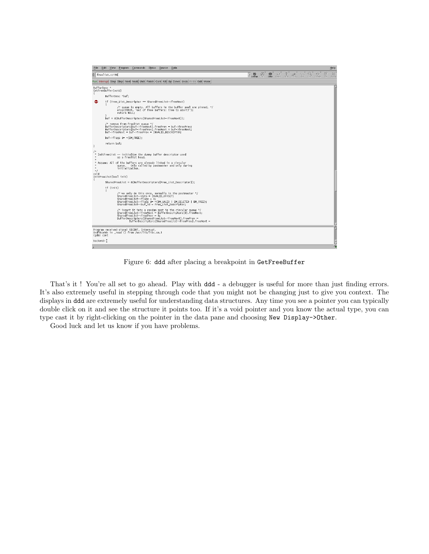

Figure 6: ddd after placing a breakpoint in GetFreeBuffer

That's it! You're all set to go ahead. Play with ddd - a debugger is useful for more than just finding errors. It's also extremely useful in stepping through code that you might not be changing just to give you context. The displays in ddd are extremely useful for understanding data structures. Any time you see a pointer you can typically double click on it and see the structure it points too. If it's a void pointer and you know the actual type, you can type cast it by right-clicking on the pointer in the data pane and choosing New Display->Other.

Good luck and let us know if you have problems.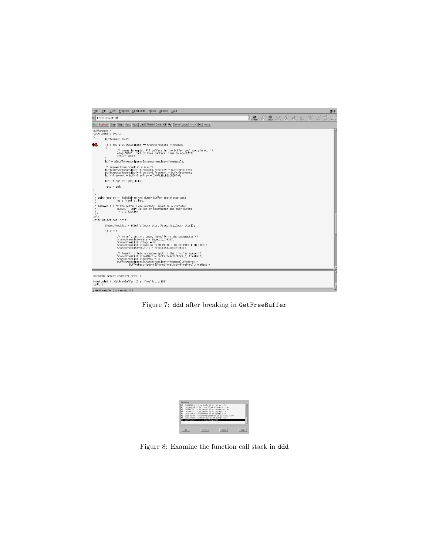

Figure 7: ddd after breaking in GetFreeBuffer



Figure 8: Examine the function call stack in ddd